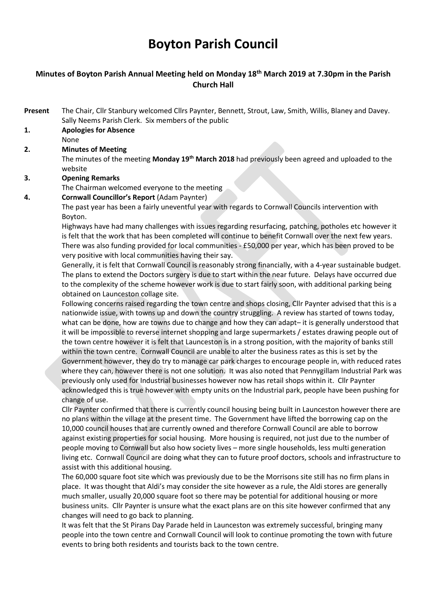# Boyton Parish Council

# Minutes of Boyton Parish Annual Meeting held on Monday 18<sup>th</sup> March 2019 at 7.30pm in the Parish Church Hall

- Present The Chair, Cllr Stanbury welcomed Cllrs Paynter, Bennett, Strout, Law, Smith, Willis, Blaney and Davey. Sally Neems Parish Clerk. Six members of the public
- 1. Apologies for Absence
	- None
- 2. Minutes of Meeting

The minutes of the meeting **Monday 19<sup>th</sup> March 2018** had previously been agreed and uploaded to the website

3. Opening Remarks

The Chairman welcomed everyone to the meeting

4. Cornwall Councillor's Report (Adam Paynter)

The past year has been a fairly uneventful year with regards to Cornwall Councils intervention with Boyton.

Highways have had many challenges with issues regarding resurfacing, patching, potholes etc however it is felt that the work that has been completed will continue to benefit Cornwall over the next few years. There was also funding provided for local communities - £50,000 per year, which has been proved to be very positive with local communities having their say.

Generally, it is felt that Cornwall Council is reasonably strong financially, with a 4-year sustainable budget. The plans to extend the Doctors surgery is due to start within the near future. Delays have occurred due to the complexity of the scheme however work is due to start fairly soon, with additional parking being obtained on Launceston collage site.

Following concerns raised regarding the town centre and shops closing, Cllr Paynter advised that this is a nationwide issue, with towns up and down the country struggling. A review has started of towns today, what can be done, how are towns due to change and how they can adapt– it is generally understood that it will be impossible to reverse internet shopping and large supermarkets / estates drawing people out of the town centre however it is felt that Launceston is in a strong position, with the majority of banks still within the town centre. Cornwall Council are unable to alter the business rates as this is set by the Government however, they do try to manage car park charges to encourage people in, with reduced rates where they can, however there is not one solution. It was also noted that Pennygillam Industrial Park was previously only used for Industrial businesses however now has retail shops within it. Cllr Paynter acknowledged this is true however with empty units on the Industrial park, people have been pushing for change of use.

Cllr Paynter confirmed that there is currently council housing being built in Launceston however there are no plans within the village at the present time. The Government have lifted the borrowing cap on the 10,000 council houses that are currently owned and therefore Cornwall Council are able to borrow against existing properties for social housing. More housing is required, not just due to the number of people moving to Cornwall but also how society lives – more single households, less multi generation living etc. Cornwall Council are doing what they can to future proof doctors, schools and infrastructure to assist with this additional housing.

The 60,000 square foot site which was previously due to be the Morrisons site still has no firm plans in place. It was thought that Aldi's may consider the site however as a rule, the Aldi stores are generally much smaller, usually 20,000 square foot so there may be potential for additional housing or more business units. Cllr Paynter is unsure what the exact plans are on this site however confirmed that any changes will need to go back to planning.

It was felt that the St Pirans Day Parade held in Launceston was extremely successful, bringing many people into the town centre and Cornwall Council will look to continue promoting the town with future events to bring both residents and tourists back to the town centre.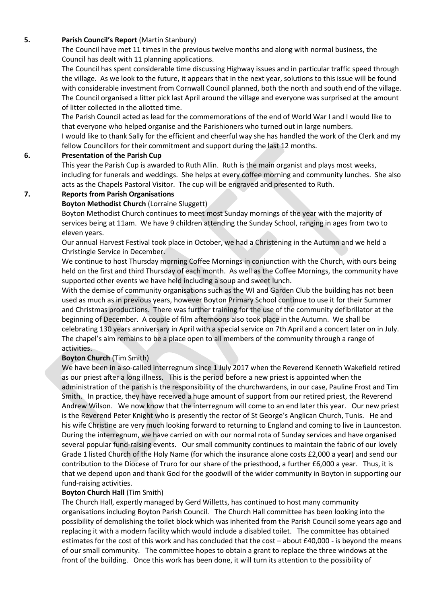#### 5. Parish Council's Report (Martin Stanbury)

The Council have met 11 times in the previous twelve months and along with normal business, the Council has dealt with 11 planning applications.

The Council has spent considerable time discussing Highway issues and in particular traffic speed through the village. As we look to the future, it appears that in the next year, solutions to this issue will be found with considerable investment from Cornwall Council planned, both the north and south end of the village. The Council organised a litter pick last April around the village and everyone was surprised at the amount of litter collected in the allotted time.

The Parish Council acted as lead for the commemorations of the end of World War I and I would like to that everyone who helped organise and the Parishioners who turned out in large numbers.

I would like to thank Sally for the efficient and cheerful way she has handled the work of the Clerk and my fellow Councillors for their commitment and support during the last 12 months.

#### 6. Presentation of the Parish Cup

This year the Parish Cup is awarded to Ruth Allin. Ruth is the main organist and plays most weeks, including for funerals and weddings. She helps at every coffee morning and community lunches. She also acts as the Chapels Pastoral Visitor. The cup will be engraved and presented to Ruth.

#### 7. Reports from Parish Organisations

#### Boyton Methodist Church (Lorraine Sluggett)

Boyton Methodist Church continues to meet most Sunday mornings of the year with the majority of services being at 11am. We have 9 children attending the Sunday School, ranging in ages from two to eleven years.

Our annual Harvest Festival took place in October, we had a Christening in the Autumn and we held a Christingle Service in December.

We continue to host Thursday morning Coffee Mornings in conjunction with the Church, with ours being held on the first and third Thursday of each month. As well as the Coffee Mornings, the community have supported other events we have held including a soup and sweet lunch.

With the demise of community organisations such as the WI and Garden Club the building has not been used as much as in previous years, however Boyton Primary School continue to use it for their Summer and Christmas productions. There was further training for the use of the community defibrillator at the beginning of December. A couple of film afternoons also took place in the Autumn. We shall be celebrating 130 years anniversary in April with a special service on 7th April and a concert later on in July. The chapel's aim remains to be a place open to all members of the community through a range of activities.

#### Boyton Church (Tim Smith)

We have been in a so-called interregnum since 1 July 2017 when the Reverend Kenneth Wakefield retired as our priest after a long illness. This is the period before a new priest is appointed when the administration of the parish is the responsibility of the churchwardens, in our case, Pauline Frost and Tim Smith. In practice, they have received a huge amount of support from our retired priest, the Reverend Andrew Wilson. We now know that the interregnum will come to an end later this year. Our new priest is the Reverend Peter Knight who is presently the rector of St George's Anglican Church, Tunis. He and his wife Christine are very much looking forward to returning to England and coming to live in Launceston. During the interregnum, we have carried on with our normal rota of Sunday services and have organised several popular fund-raising events. Our small community continues to maintain the fabric of our lovely Grade 1 listed Church of the Holy Name (for which the insurance alone costs £2,000 a year) and send our contribution to the Diocese of Truro for our share of the priesthood, a further £6,000 a year. Thus, it is that we depend upon and thank God for the goodwill of the wider community in Boyton in supporting our fund-raising activities.

#### Boyton Church Hall (Tim Smith)

The Church Hall, expertly managed by Gerd Willetts, has continued to host many community organisations including Boyton Parish Council. The Church Hall committee has been looking into the possibility of demolishing the toilet block which was inherited from the Parish Council some years ago and replacing it with a modern facility which would include a disabled toilet. The committee has obtained estimates for the cost of this work and has concluded that the cost – about £40,000 - is beyond the means of our small community. The committee hopes to obtain a grant to replace the three windows at the front of the building. Once this work has been done, it will turn its attention to the possibility of